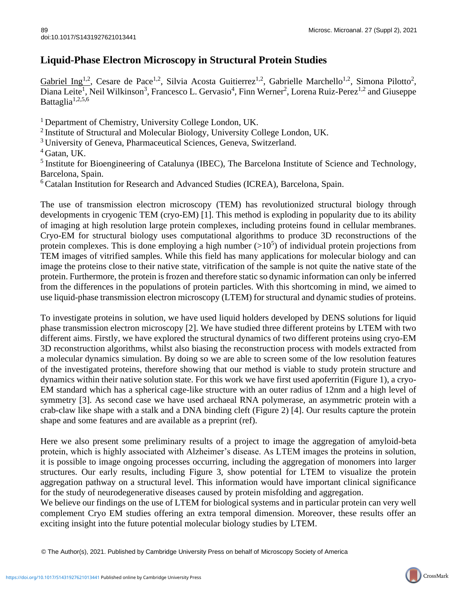## **Liquid-Phase Electron Microscopy in Structural Protein Studies**

Gabriel Ing<sup>1,2</sup>, Cesare de Pace<sup>1,2</sup>, Silvia Acosta Guitierrez<sup>1,2</sup>, Gabrielle Marchello<sup>1,2</sup>, Simona Pilotto<sup>2</sup>, Diana Leite<sup>1</sup>, Neil Wilkinson<sup>3</sup>, Francesco L. Gervasio<sup>4</sup>, Finn Werner<sup>2</sup>, Lorena Ruiz-Perez<sup>1,2</sup> and Giuseppe Battaglia<sup>1,2,5,6</sup>

<sup>1</sup> Department of Chemistry, University College London, UK.

<sup>2</sup> Institute of Structural and Molecular Biology, University College London, UK.

<sup>3</sup> University of Geneva, Pharmaceutical Sciences, Geneva, Switzerland.

<sup>5</sup> Institute for Bioengineering of Catalunya (IBEC), The Barcelona Institute of Science and Technology, Barcelona, Spain.

<sup>6</sup> Catalan Institution for Research and Advanced Studies (ICREA), Barcelona, Spain.

The use of transmission electron microscopy (TEM) has revolutionized structural biology through developments in cryogenic TEM (cryo-EM) [1]. This method is exploding in popularity due to its ability of imaging at high resolution large protein complexes, including proteins found in cellular membranes. Cryo-EM for structural biology uses computational algorithms to produce 3D reconstructions of the protein complexes. This is done employing a high number  $(>10^5)$  of individual protein projections from TEM images of vitrified samples. While this field has many applications for molecular biology and can image the proteins close to their native state, vitrification of the sample is not quite the native state of the protein. Furthermore, the protein is frozen and therefore static so dynamic information can only be inferred from the differences in the populations of protein particles. With this shortcoming in mind, we aimed to use liquid-phase transmission electron microscopy (LTEM) for structural and dynamic studies of proteins.

To investigate proteins in solution, we have used liquid holders developed by DENS solutions for liquid phase transmission electron microscopy [2]. We have studied three different proteins by LTEM with two different aims. Firstly, we have explored the structural dynamics of two different proteins using cryo-EM 3D reconstruction algorithms, whilst also biasing the reconstruction process with models extracted from a molecular dynamics simulation. By doing so we are able to screen some of the low resolution features of the investigated proteins, therefore showing that our method is viable to study protein structure and dynamics within their native solution state. For this work we have first used apoferritin (Figure 1), a cryo-EM standard which has a spherical cage-like structure with an outer radius of 12nm and a high level of symmetry [3]. As second case we have used archaeal RNA polymerase, an asymmetric protein with a crab-claw like shape with a stalk and a DNA binding cleft (Figure 2) [4]. Our results capture the protein shape and some features and are available as a preprint (ref).

Here we also present some preliminary results of a project to image the aggregation of amyloid-beta protein, which is highly associated with Alzheimer's disease. As LTEM images the proteins in solution, it is possible to image ongoing processes occurring, including the aggregation of monomers into larger structures. Our early results, including Figure 3, show potential for LTEM to visualize the protein aggregation pathway on a structural level. This information would have important clinical significance for the study of neurodegenerative diseases caused by protein misfolding and aggregation.

We believe our findings on the use of LTEM for biological systems and in particular protein can very well complement Cryo EM studies offering an extra temporal dimension. Moreover, these results offer an exciting insight into the future potential molecular biology studies by LTEM.

© The Author(s), 2021. Published by Cambridge University Press on behalf of Microscopy Society of America

 $4$  Gatan, UK.